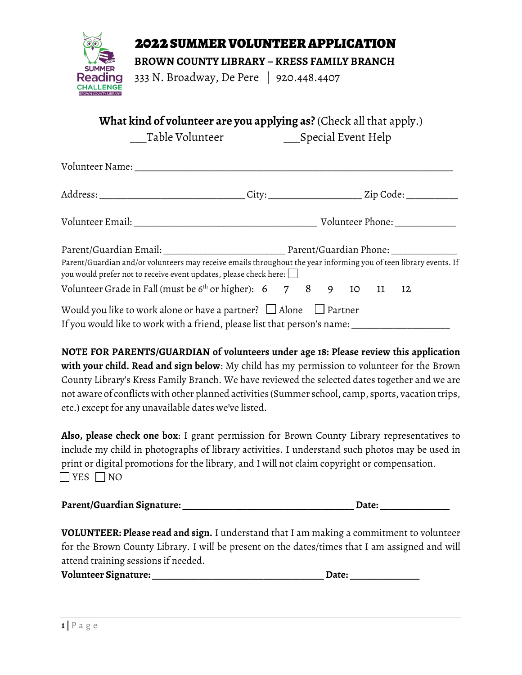

## 2022 SUMMER VOLUNTEER APPLICATION

 **BROWN COUNTY LIBRARY – KRESS FAMILY BRANCH**

333 N. Broadway, De Pere | 920.448.4407

**What kind of volunteer are you applying as?** (Check all that apply.)

\_\_\_Table Volunteer \_\_\_Special Event Help

| Volunteer Name: North and a state of the state of the state of the state of the state of the state of the state of the state of the state of the state of the state of the state of the state of the state of the state of the |  |  |  |  |
|--------------------------------------------------------------------------------------------------------------------------------------------------------------------------------------------------------------------------------|--|--|--|--|
|                                                                                                                                                                                                                                |  |  |  |  |
|                                                                                                                                                                                                                                |  |  |  |  |
|                                                                                                                                                                                                                                |  |  |  |  |
| Parent/Guardian and/or volunteers may receive emails throughout the year informing you of teen library events. If<br>you would prefer not to receive event updates, please check here: $\Box$                                  |  |  |  |  |
| Volunteer Grade in Fall (must be $6th$ or higher): $6$ 7 8 9 10 11 12                                                                                                                                                          |  |  |  |  |
| Would you like to work alone or have a partner? $\Box$ Alone $\Box$ Partner                                                                                                                                                    |  |  |  |  |
| If you would like to work with a friend, please list that person's name:                                                                                                                                                       |  |  |  |  |

**NOTE FOR PARENTS/GUARDIAN of volunteers under age 18: Please review this application with your child. Read and sign below**: My child has my permission to volunteer for the Brown County Library's Kress Family Branch. We have reviewed the selected dates together and we are not aware of conflicts with other planned activities (Summer school, camp, sports, vacation trips, etc.) except for any unavailable dates we've listed.

**Also, please check one box**: I grant permission for Brown County Library representatives to include my child in photographs of library activities. I understand such photos may be used in print or digital promotions for the library, and I will not claim copyright or compensation.  $\Box$  YES  $\Box$  NO

| Parent/Guardian Signature: | <b>Date:</b> |
|----------------------------|--------------|
|                            |              |

**VOLUNTEER: Please read and sign.** I understand that I am making a commitment to volunteer for the Brown County Library. I will be present on the dates/times that I am assigned and will attend training sessions if needed.

**Volunteer Signature: \_\_\_\_\_\_\_\_\_\_\_\_\_\_\_\_\_\_\_\_\_\_\_\_\_\_\_\_\_\_\_\_\_\_\_\_\_ Date: \_\_\_\_\_\_\_\_\_\_\_\_\_\_\_**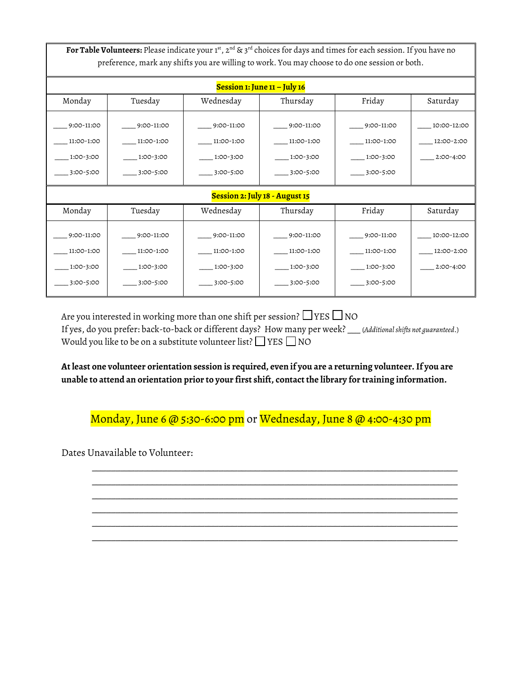For Table Volunteers: Please indicate your 1st, 2<sup>nd</sup> & 3<sup>rd</sup> choices for days and times for each session. If you have no preference, mark any shifts you are willing to work. You may choose to do one session or both.

| Session 1: June $11 -$ July 16                     |                                                    |                                                    |                                                       |                                                    |                                          |  |  |
|----------------------------------------------------|----------------------------------------------------|----------------------------------------------------|-------------------------------------------------------|----------------------------------------------------|------------------------------------------|--|--|
| Monday                                             | Tuesday                                            | Wednesday                                          | Thursday                                              | Friday                                             | Saturday                                 |  |  |
| 9:00-11:00<br>11:00-1:00<br>1:00-3:00<br>3:00-5:00 | 9:00-11:00<br>11:00-1:00<br>1:00-3:00<br>3:00-5:00 | 9:00-11:00<br>11:00-1:00<br>1:00-3:00<br>3:00-5:00 | $-9:00-11:00$<br>11:00-1:00<br>1:00-3:00<br>3:00-5:00 | 9:00-11:00<br>11:00-1:00<br>1:00-3:00<br>3:00-5:00 | 10:00-12:00<br>12:00-2:00<br>$2:00-4:00$ |  |  |
| Session 2: July 18 - August 15                     |                                                    |                                                    |                                                       |                                                    |                                          |  |  |
| Monday                                             | Tuesday                                            | Wednesday                                          | Thursday                                              | Friday                                             | Saturday                                 |  |  |
| 9:00-11:00<br>11:00-1:00<br>1:00-3:00<br>3:00-5:00 | 9:00-11:00<br>11:00-1:00<br>1:00-3:00<br>3:00-5:00 | 9:00-11:00<br>11:00-1:00<br>1:00-3:00<br>3:00-5:00 | 9:00-11:00<br>11:00-1:00<br>1:00-3:00<br>3:00-5:00    | 9:00-11:00<br>11:00-1:00<br>1:00-3:00<br>3:00-5:00 | 10:00-12:00<br>12:00-2:00<br>2:00-4:00   |  |  |

Are you interested in working more than one shift per session?  $\Box$  YES  $\Box$  NO If yes, do you prefer: back-to-back or different days? How many per week? \_\_\_ (*Additional shifts not guaranteed*.) Would you like to be on a substitute volunteer list?  $\Box$  YES  $\Box$  NO

**At least one volunteer orientation session is required, even if you are a returning volunteer. If you are unable to attend an orientation prior to your first shift, contact the library for training information.**

Monday, June 6 @ 5:30-6:00 pm or Wednesday, June 8 @ 4:00-4:30 pm

\_\_\_\_\_\_\_\_\_\_\_\_\_\_\_\_\_\_\_\_\_\_\_\_\_\_\_\_\_\_\_\_\_\_\_\_\_\_\_\_\_\_\_\_\_\_\_\_\_\_\_\_\_\_\_\_\_\_\_\_\_\_\_\_\_\_\_\_\_\_\_\_\_\_\_\_\_\_ \_\_\_\_\_\_\_\_\_\_\_\_\_\_\_\_\_\_\_\_\_\_\_\_\_\_\_\_\_\_\_\_\_\_\_\_\_\_\_\_\_\_\_\_\_\_\_\_\_\_\_\_\_\_\_\_\_\_\_\_\_\_\_\_\_\_\_\_\_\_\_\_\_\_\_\_\_\_ \_\_\_\_\_\_\_\_\_\_\_\_\_\_\_\_\_\_\_\_\_\_\_\_\_\_\_\_\_\_\_\_\_\_\_\_\_\_\_\_\_\_\_\_\_\_\_\_\_\_\_\_\_\_\_\_\_\_\_\_\_\_\_\_\_\_\_\_\_\_\_\_\_\_\_\_\_\_ \_\_\_\_\_\_\_\_\_\_\_\_\_\_\_\_\_\_\_\_\_\_\_\_\_\_\_\_\_\_\_\_\_\_\_\_\_\_\_\_\_\_\_\_\_\_\_\_\_\_\_\_\_\_\_\_\_\_\_\_\_\_\_\_\_\_\_\_\_\_\_\_\_\_\_\_\_\_ \_\_\_\_\_\_\_\_\_\_\_\_\_\_\_\_\_\_\_\_\_\_\_\_\_\_\_\_\_\_\_\_\_\_\_\_\_\_\_\_\_\_\_\_\_\_\_\_\_\_\_\_\_\_\_\_\_\_\_\_\_\_\_\_\_\_\_\_\_\_\_\_\_\_\_\_\_\_ \_\_\_\_\_\_\_\_\_\_\_\_\_\_\_\_\_\_\_\_\_\_\_\_\_\_\_\_\_\_\_\_\_\_\_\_\_\_\_\_\_\_\_\_\_\_\_\_\_\_\_\_\_\_\_\_\_\_\_\_\_\_\_\_\_\_\_\_\_\_\_\_\_\_\_\_\_\_

Dates Unavailable to Volunteer: